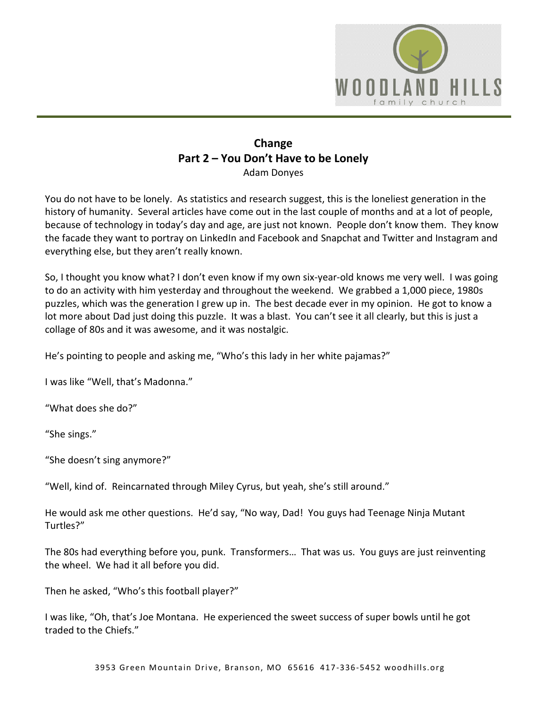

## **Change Part 2 – You Don't Have to be Lonely** Adam Donyes

You do not have to be lonely. As statistics and research suggest, this is the loneliest generation in the history of humanity. Several articles have come out in the last couple of months and at a lot of people, because of technology in today's day and age, are just not known. People don't know them. They know the facade they want to portray on LinkedIn and Facebook and Snapchat and Twitter and Instagram and everything else, but they aren't really known.

So, I thought you know what? I don't even know if my own six-year-old knows me very well. I was going to do an activity with him yesterday and throughout the weekend. We grabbed a 1,000 piece, 1980s puzzles, which was the generation I grew up in. The best decade ever in my opinion. He got to know a lot more about Dad just doing this puzzle. It was a blast. You can't see it all clearly, but this is just a collage of 80s and it was awesome, and it was nostalgic.

He's pointing to people and asking me, "Who's this lady in her white pajamas?"

I was like "Well, that's Madonna."

"What does she do?"

"She sings."

"She doesn't sing anymore?"

"Well, kind of. Reincarnated through Miley Cyrus, but yeah, she's still around."

He would ask me other questions. He'd say, "No way, Dad! You guys had Teenage Ninja Mutant Turtles?"

The 80s had everything before you, punk. Transformers… That was us. You guys are just reinventing the wheel. We had it all before you did.

Then he asked, "Who's this football player?"

I was like, "Oh, that's Joe Montana. He experienced the sweet success of super bowls until he got traded to the Chiefs."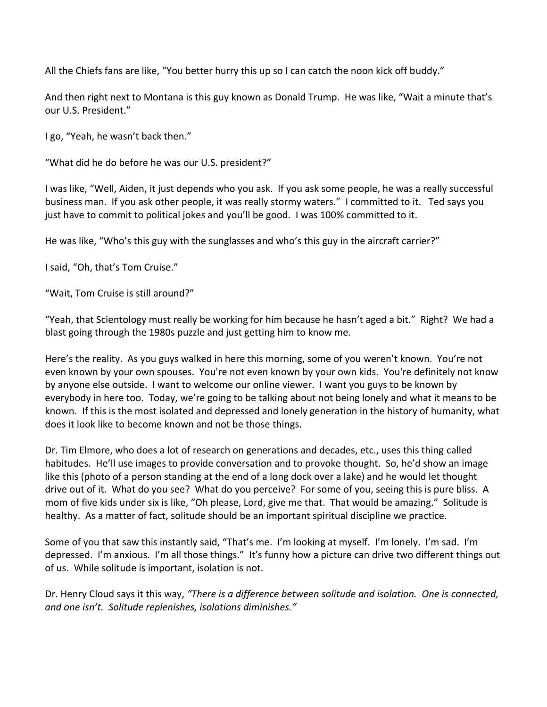All the Chiefs fans are like, "You better hurry this up so I can catch the noon kick off buddy."

And then right next to Montana is this guy known as Donald Trump. He was like, "Wait a minute that's our U.S. President."

I go, "Yeah, he wasn't back then."

"What did he do before he was our U.S. president?"

I was like, "Well, Aiden, it just depends who you ask. If you ask some people, he was a really successful business man. If you ask other people, it was really stormy waters." I committed to it. Ted says you just have to commit to political jokes and you'll be good. I was 100% committed to it.

He was like, "Who's this guy with the sunglasses and who's this guy in the aircraft carrier?"

I said, "Oh, that's Tom Cruise."

"Wait, Tom Cruise is still around?"

"Yeah, that Scientology must really be working for him because he hasn't aged a bit." Right? We had a blast going through the 1980s puzzle and just getting him to know me.

Here's the reality. As you guys walked in here this morning, some of you weren't known. You're not even known by your own spouses. You're not even known by your own kids. You're definitely not know by anyone else outside. I want to welcome our online viewer. I want you guys to be known by everybody in here too. Today, we're going to be talking about not being lonely and what it means to be known. If this is the most isolated and depressed and lonely generation in the history of humanity, what does it look like to become known and not be those things.

Dr. Tim Elmore, who does a lot of research on generations and decades, etc., uses this thing called habitudes. He'll use images to provide conversation and to provoke thought. So, he'd show an image like this (photo of a person standing at the end of a long dock over a lake) and he would let thought drive out of it. What do you see? What do you perceive? For some of you, seeing this is pure bliss. A mom of five kids under six is like, "Oh please, Lord, give me that. That would be amazing." Solitude is healthy. As a matter of fact, solitude should be an important spiritual discipline we practice.

Some of you that saw this instantly said, "That's me. I'm looking at myself. I'm lonely. I'm sad. I'm depressed. I'm anxious. I'm all those things." It's funny how a picture can drive two different things out of us. While solitude is important, isolation is not.

Dr. Henry Cloud says it this way, *"There is a difference between solitude and isolation. One is connected, and one isn't. Solitude replenishes, isolations diminishes."*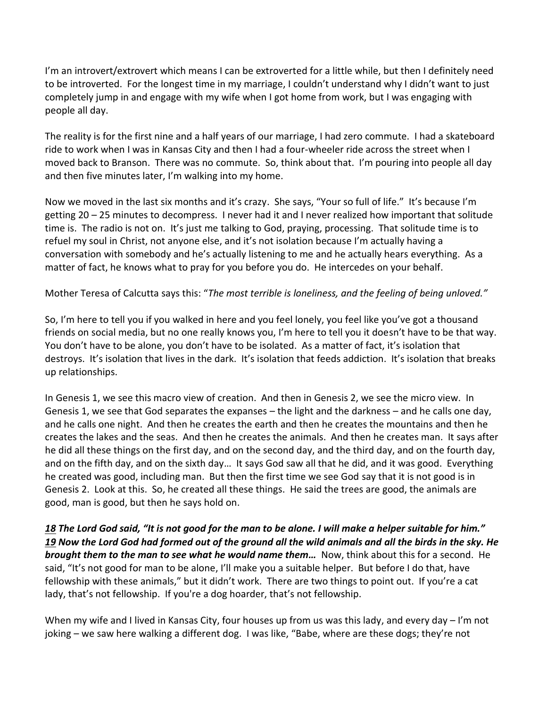I'm an introvert/extrovert which means I can be extroverted for a little while, but then I definitely need to be introverted. For the longest time in my marriage, I couldn't understand why I didn't want to just completely jump in and engage with my wife when I got home from work, but I was engaging with people all day.

The reality is for the first nine and a half years of our marriage, I had zero commute. I had a skateboard ride to work when I was in Kansas City and then I had a four-wheeler ride across the street when I moved back to Branson. There was no commute. So, think about that. I'm pouring into people all day and then five minutes later, I'm walking into my home.

Now we moved in the last six months and it's crazy. She says, "Your so full of life." It's because I'm getting 20 – 25 minutes to decompress. I never had it and I never realized how important that solitude time is. The radio is not on. It's just me talking to God, praying, processing. That solitude time is to refuel my soul in Christ, not anyone else, and it's not isolation because I'm actually having a conversation with somebody and he's actually listening to me and he actually hears everything. As a matter of fact, he knows what to pray for you before you do. He intercedes on your behalf.

## Mother Teresa of Calcutta says this: "*The most terrible is loneliness, and the feeling of being unloved."*

So, I'm here to tell you if you walked in here and you feel lonely, you feel like you've got a thousand friends on social media, but no one really knows you, I'm here to tell you it doesn't have to be that way. You don't have to be alone, you don't have to be isolated. As a matter of fact, it's isolation that destroys. It's isolation that lives in the dark. It's isolation that feeds addiction. It's isolation that breaks up relationships.

In Genesis 1, we see this macro view of creation. And then in Genesis 2, we see the micro view. In Genesis 1, we see that God separates the expanses – the light and the darkness – and he calls one day, and he calls one night. And then he creates the earth and then he creates the mountains and then he creates the lakes and the seas. And then he creates the animals. And then he creates man. It says after he did all these things on the first day, and on the second day, and the third day, and on the fourth day, and on the fifth day, and on the sixth day… It says God saw all that he did, and it was good. Everything he created was good, including man. But then the first time we see God say that it is not good is in Genesis 2. Look at this. So, he created all these things. He said the trees are good, the animals are good, man is good, but then he says hold on.

*[18](https://www.studylight.org/desk/?q=ge%202:18&t1=en_niv&sr=1) The Lord God said, "It is not good for the man to be alone. I will make a helper suitable for him." [19](https://www.studylight.org/desk/?q=ge%202:19&t1=en_niv&sr=1) Now the Lord God had formed out of the ground all the wild animals and all the birds in the sky. He brought them to the man to see what he would name them…* Now, think about this for a second. He said, "It's not good for man to be alone, I'll make you a suitable helper. But before I do that, have fellowship with these animals," but it didn't work. There are two things to point out. If you're a cat lady, that's not fellowship. If you're a dog hoarder, that's not fellowship.

When my wife and I lived in Kansas City, four houses up from us was this lady, and every day – I'm not joking – we saw here walking a different dog. I was like, "Babe, where are these dogs; they're not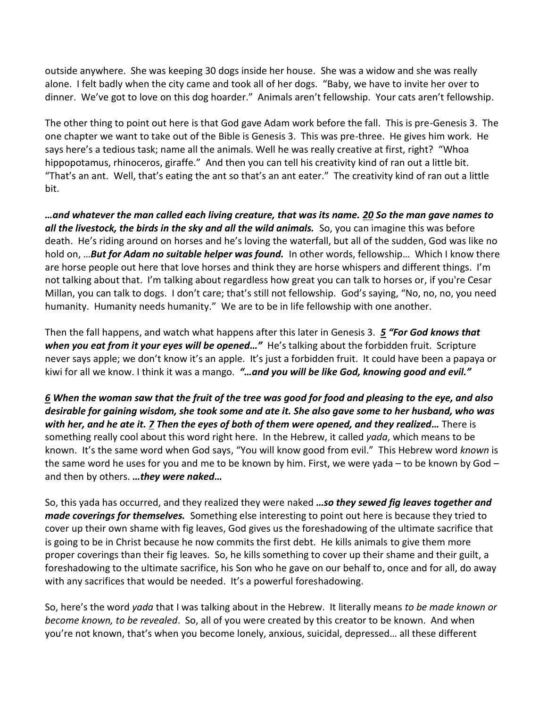outside anywhere. She was keeping 30 dogs inside her house. She was a widow and she was really alone. I felt badly when the city came and took all of her dogs. "Baby, we have to invite her over to dinner. We've got to love on this dog hoarder." Animals aren't fellowship. Your cats aren't fellowship.

The other thing to point out here is that God gave Adam work before the fall. This is pre-Genesis 3. The one chapter we want to take out of the Bible is Genesis 3. This was pre-three. He gives him work. He says here's a tedious task; name all the animals. Well he was really creative at first, right? "Whoa hippopotamus, rhinoceros, giraffe." And then you can tell his creativity kind of ran out a little bit. "That's an ant. Well, that's eating the ant so that's an ant eater." The creativity kind of ran out a little bit.

*…and whatever the man called each living creature, that was its name. [20](https://www.studylight.org/desk/?q=ge%202:20&t1=en_niv&sr=1) So the man gave names to all the livestock, the birds in the sky and all the wild animals.* So, you can imagine this was before death. He's riding around on horses and he's loving the waterfall, but all of the sudden, God was like no hold on, …*But for Adam no suitable helper was found.* In other words, fellowship… Which I know there are horse people out here that love horses and think they are horse whispers and different things. I'm not talking about that. I'm talking about regardless how great you can talk to horses or, if you're Cesar Millan, you can talk to dogs. I don't care; that's still not fellowship. God's saying, "No, no, no, you need humanity. Humanity needs humanity." We are to be in life fellowship with one another.

Then the fall happens, and watch what happens after this later in Genesis 3. *[5](https://www.studylight.org/desk/?q=ge%203:5&t1=en_niv&sr=1) "For God knows that when you eat from it your eyes will be opened…"* He's talking about the forbidden fruit. Scripture never says apple; we don't know it's an apple. It's just a forbidden fruit. It could have been a papaya or kiwi for all we know. I think it was a mango. *"…and you will be like God, knowing good and evil."*

*[6](https://www.studylight.org/desk/?q=ge%203:6&t1=en_niv&sr=1) When the woman saw that the fruit of the tree was good for food and pleasing to the eye, and also desirable for gaining wisdom, she took some and ate it. She also gave some to her husband, who was with her, and he ate it. [7](https://www.studylight.org/desk/?q=ge%203:7&t1=en_niv&sr=1) Then the eyes of both of them were opened, and they realized…* There is something really cool about this word right here. In the Hebrew, it called *yada*, which means to be known. It's the same word when God says, "You will know good from evil." This Hebrew word *known* is the same word he uses for you and me to be known by him. First, we were yada – to be known by God – and then by others. *…they were naked…*

So, this yada has occurred, and they realized they were naked *…so they sewed fig leaves together and made coverings for themselves.* Something else interesting to point out here is because they tried to cover up their own shame with fig leaves, God gives us the foreshadowing of the ultimate sacrifice that is going to be in Christ because he now commits the first debt. He kills animals to give them more proper coverings than their fig leaves. So, he kills something to cover up their shame and their guilt, a foreshadowing to the ultimate sacrifice, his Son who he gave on our behalf to, once and for all, do away with any sacrifices that would be needed. It's a powerful foreshadowing.

So, here's the word *yada* that I was talking about in the Hebrew. It literally means *to be made known or become known, to be revealed*. So, all of you were created by this creator to be known. And when you're not known, that's when you become lonely, anxious, suicidal, depressed… all these different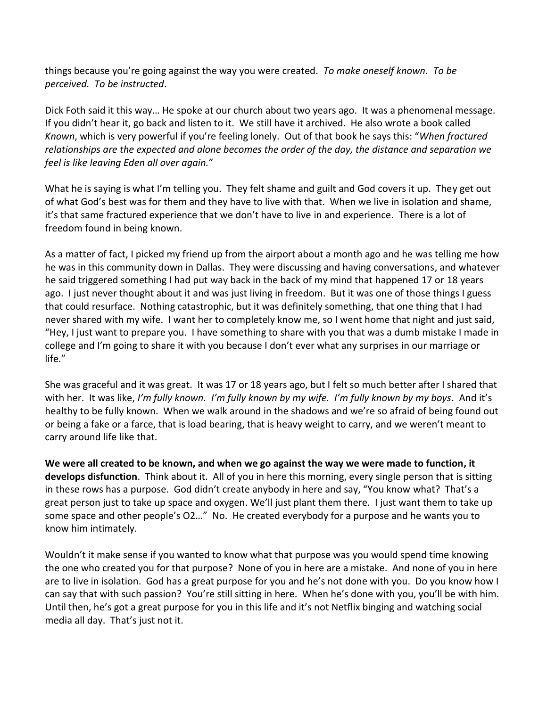things because you're going against the way you were created. *To make oneself known. To be perceived. To be instructed*.

Dick Foth said it this way… He spoke at our church about two years ago. It was a phenomenal message. If you didn't hear it, go back and listen to it. We still have it archived. He also wrote a book called *Known*, which is very powerful if you're feeling lonely. Out of that book he says this: "*When fractured relationships are the expected and alone becomes the order of the day, the distance and separation we feel is like leaving Eden all over again.*"

What he is saying is what I'm telling you. They felt shame and guilt and God covers it up. They get out of what God's best was for them and they have to live with that. When we live in isolation and shame, it's that same fractured experience that we don't have to live in and experience. There is a lot of freedom found in being known.

As a matter of fact, I picked my friend up from the airport about a month ago and he was telling me how he was in this community down in Dallas. They were discussing and having conversations, and whatever he said triggered something I had put way back in the back of my mind that happened 17 or 18 years ago. I just never thought about it and was just living in freedom. But it was one of those things I guess that could resurface. Nothing catastrophic, but it was definitely something, that one thing that I had never shared with my wife. I want her to completely know me, so I went home that night and just said, "Hey, I just want to prepare you. I have something to share with you that was a dumb mistake I made in college and I'm going to share it with you because I don't ever what any surprises in our marriage or life."

She was graceful and it was great. It was 17 or 18 years ago, but I felt so much better after I shared that with her. It was like, *I'm fully known. I'm fully known by my wife. I'm fully known by my boys*. And it's healthy to be fully known. When we walk around in the shadows and we're so afraid of being found out or being a fake or a farce, that is load bearing, that is heavy weight to carry, and we weren't meant to carry around life like that.

**We were all created to be known, and when we go against the way we were made to function, it develops disfunction**. Think about it. All of you in here this morning, every single person that is sitting in these rows has a purpose. God didn't create anybody in here and say, "You know what? That's a great person just to take up space and oxygen. We'll just plant them there. I just want them to take up some space and other people's O2…" No. He created everybody for a purpose and he wants you to know him intimately.

Wouldn't it make sense if you wanted to know what that purpose was you would spend time knowing the one who created you for that purpose? None of you in here are a mistake. And none of you in here are to live in isolation. God has a great purpose for you and he's not done with you. Do you know how I can say that with such passion? You're still sitting in here. When he's done with you, you'll be with him. Until then, he's got a great purpose for you in this life and it's not Netflix binging and watching social media all day. That's just not it.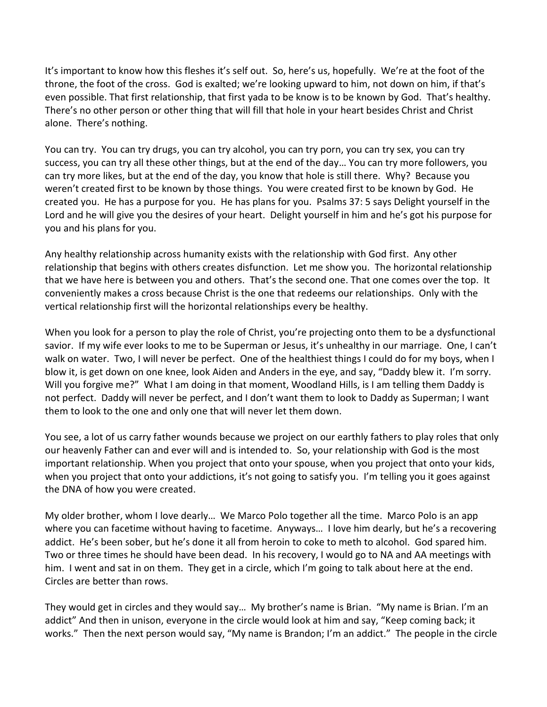It's important to know how this fleshes it's self out. So, here's us, hopefully. We're at the foot of the throne, the foot of the cross. God is exalted; we're looking upward to him, not down on him, if that's even possible. That first relationship, that first yada to be know is to be known by God. That's healthy. There's no other person or other thing that will fill that hole in your heart besides Christ and Christ alone. There's nothing.

You can try. You can try drugs, you can try alcohol, you can try porn, you can try sex, you can try success, you can try all these other things, but at the end of the day… You can try more followers, you can try more likes, but at the end of the day, you know that hole is still there. Why? Because you weren't created first to be known by those things. You were created first to be known by God. He created you. He has a purpose for you. He has plans for you. Psalms 37: 5 says Delight yourself in the Lord and he will give you the desires of your heart. Delight yourself in him and he's got his purpose for you and his plans for you.

Any healthy relationship across humanity exists with the relationship with God first. Any other relationship that begins with others creates disfunction. Let me show you. The horizontal relationship that we have here is between you and others. That's the second one. That one comes over the top. It conveniently makes a cross because Christ is the one that redeems our relationships. Only with the vertical relationship first will the horizontal relationships every be healthy.

When you look for a person to play the role of Christ, you're projecting onto them to be a dysfunctional savior. If my wife ever looks to me to be Superman or Jesus, it's unhealthy in our marriage. One, I can't walk on water. Two, I will never be perfect. One of the healthiest things I could do for my boys, when I blow it, is get down on one knee, look Aiden and Anders in the eye, and say, "Daddy blew it. I'm sorry. Will you forgive me?" What I am doing in that moment, Woodland Hills, is I am telling them Daddy is not perfect. Daddy will never be perfect, and I don't want them to look to Daddy as Superman; I want them to look to the one and only one that will never let them down.

You see, a lot of us carry father wounds because we project on our earthly fathers to play roles that only our heavenly Father can and ever will and is intended to. So, your relationship with God is the most important relationship. When you project that onto your spouse, when you project that onto your kids, when you project that onto your addictions, it's not going to satisfy you. I'm telling you it goes against the DNA of how you were created.

My older brother, whom I love dearly… We Marco Polo together all the time. Marco Polo is an app where you can facetime without having to facetime. Anyways… I love him dearly, but he's a recovering addict. He's been sober, but he's done it all from heroin to coke to meth to alcohol. God spared him. Two or three times he should have been dead. In his recovery, I would go to NA and AA meetings with him. I went and sat in on them. They get in a circle, which I'm going to talk about here at the end. Circles are better than rows.

They would get in circles and they would say… My brother's name is Brian. "My name is Brian. I'm an addict" And then in unison, everyone in the circle would look at him and say, "Keep coming back; it works." Then the next person would say, "My name is Brandon; I'm an addict." The people in the circle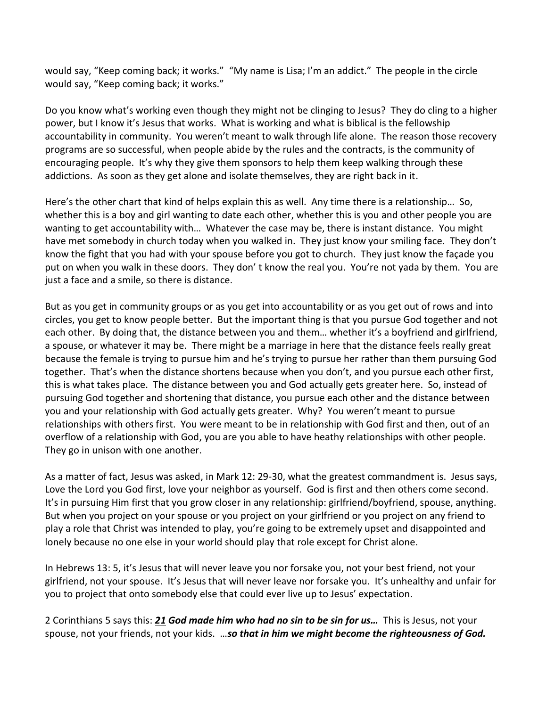would say, "Keep coming back; it works." "My name is Lisa; I'm an addict." The people in the circle would say, "Keep coming back; it works."

Do you know what's working even though they might not be clinging to Jesus? They do cling to a higher power, but I know it's Jesus that works. What is working and what is biblical is the fellowship accountability in community. You weren't meant to walk through life alone. The reason those recovery programs are so successful, when people abide by the rules and the contracts, is the community of encouraging people. It's why they give them sponsors to help them keep walking through these addictions. As soon as they get alone and isolate themselves, they are right back in it.

Here's the other chart that kind of helps explain this as well. Any time there is a relationship… So, whether this is a boy and girl wanting to date each other, whether this is you and other people you are wanting to get accountability with… Whatever the case may be, there is instant distance. You might have met somebody in church today when you walked in. They just know your smiling face. They don't know the fight that you had with your spouse before you got to church. They just know the façade you put on when you walk in these doors. They don' t know the real you. You're not yada by them. You are just a face and a smile, so there is distance.

But as you get in community groups or as you get into accountability or as you get out of rows and into circles, you get to know people better. But the important thing is that you pursue God together and not each other. By doing that, the distance between you and them… whether it's a boyfriend and girlfriend, a spouse, or whatever it may be. There might be a marriage in here that the distance feels really great because the female is trying to pursue him and he's trying to pursue her rather than them pursuing God together. That's when the distance shortens because when you don't, and you pursue each other first, this is what takes place. The distance between you and God actually gets greater here. So, instead of pursuing God together and shortening that distance, you pursue each other and the distance between you and your relationship with God actually gets greater. Why? You weren't meant to pursue relationships with others first. You were meant to be in relationship with God first and then, out of an overflow of a relationship with God, you are you able to have heathy relationships with other people. They go in unison with one another.

As a matter of fact, Jesus was asked, in Mark 12: 29-30, what the greatest commandment is. Jesus says, Love the Lord you God first, love your neighbor as yourself. God is first and then others come second. It's in pursuing Him first that you grow closer in any relationship: girlfriend/boyfriend, spouse, anything. But when you project on your spouse or you project on your girlfriend or you project on any friend to play a role that Christ was intended to play, you're going to be extremely upset and disappointed and lonely because no one else in your world should play that role except for Christ alone.

In Hebrews 13: 5, it's Jesus that will never leave you nor forsake you, not your best friend, not your girlfriend, not your spouse. It's Jesus that will never leave nor forsake you. It's unhealthy and unfair for you to project that onto somebody else that could ever live up to Jesus' expectation.

2 Corinthians 5 says this: *[21](https://www.studylight.org/desk/?q=2co%205:21&t1=en_niv&sr=1) God made him who had no sin to be sin for us…* This is Jesus, not your spouse, not your friends, not your kids. …*so that in him we might become the righteousness of God.*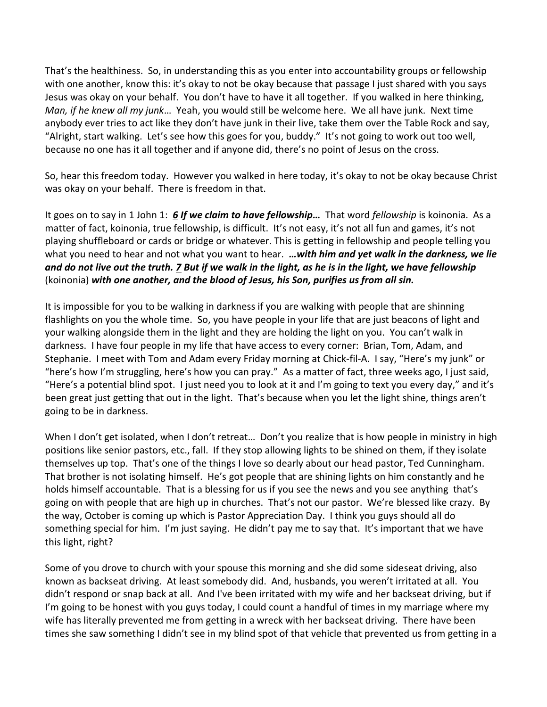That's the healthiness. So, in understanding this as you enter into accountability groups or fellowship with one another, know this: it's okay to not be okay because that passage I just shared with you says Jesus was okay on your behalf. You don't have to have it all together. If you walked in here thinking, *Man, if he knew all my junk*… Yeah, you would still be welcome here. We all have junk. Next time anybody ever tries to act like they don't have junk in their live, take them over the Table Rock and say, "Alright, start walking. Let's see how this goes for you, buddy." It's not going to work out too well, because no one has it all together and if anyone did, there's no point of Jesus on the cross.

So, hear this freedom today. However you walked in here today, it's okay to not be okay because Christ was okay on your behalf. There is freedom in that.

It goes on to say in 1 John 1: *[6](https://www.studylight.org/desk/?q=1jo%201:6&t1=en_niv&sr=1) If we claim to have fellowship…* That word *fellowship* is koinonia. As a matter of fact, koinonia, true fellowship, is difficult. It's not easy, it's not all fun and games, it's not playing shuffleboard or cards or bridge or whatever. This is getting in fellowship and people telling you what you need to hear and not what you want to hear. *…with him and yet walk in the darkness, we lie and do not live out the truth. [7](https://www.studylight.org/desk/?q=1jo%201:7&t1=en_niv&sr=1) But if we walk in the light, as he is in the light, we have fellowship*  (koinonia) *with one another, and the blood of Jesus, his Son, purifies us from all sin.* 

It is impossible for you to be walking in darkness if you are walking with people that are shinning flashlights on you the whole time. So, you have people in your life that are just beacons of light and your walking alongside them in the light and they are holding the light on you. You can't walk in darkness. I have four people in my life that have access to every corner: Brian, Tom, Adam, and Stephanie. I meet with Tom and Adam every Friday morning at Chick-fil-A. I say, "Here's my junk" or "here's how I'm struggling, here's how you can pray." As a matter of fact, three weeks ago, I just said, "Here's a potential blind spot. I just need you to look at it and I'm going to text you every day," and it's been great just getting that out in the light. That's because when you let the light shine, things aren't going to be in darkness.

When I don't get isolated, when I don't retreat... Don't you realize that is how people in ministry in high positions like senior pastors, etc., fall. If they stop allowing lights to be shined on them, if they isolate themselves up top. That's one of the things I love so dearly about our head pastor, Ted Cunningham. That brother is not isolating himself. He's got people that are shining lights on him constantly and he holds himself accountable. That is a blessing for us if you see the news and you see anything that's going on with people that are high up in churches. That's not our pastor. We're blessed like crazy. By the way, October is coming up which is Pastor Appreciation Day. I think you guys should all do something special for him. I'm just saying. He didn't pay me to say that. It's important that we have this light, right?

Some of you drove to church with your spouse this morning and she did some sideseat driving, also known as backseat driving. At least somebody did. And, husbands, you weren't irritated at all. You didn't respond or snap back at all. And I've been irritated with my wife and her backseat driving, but if I'm going to be honest with you guys today, I could count a handful of times in my marriage where my wife has literally prevented me from getting in a wreck with her backseat driving. There have been times she saw something I didn't see in my blind spot of that vehicle that prevented us from getting in a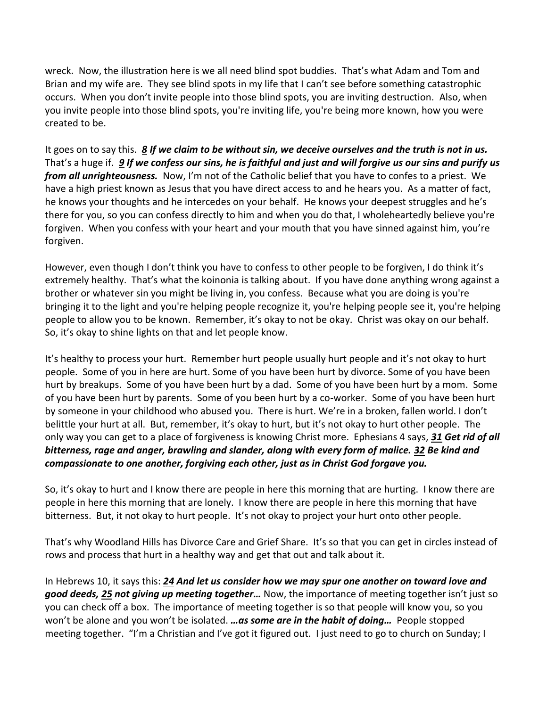wreck. Now, the illustration here is we all need blind spot buddies. That's what Adam and Tom and Brian and my wife are. They see blind spots in my life that I can't see before something catastrophic occurs. When you don't invite people into those blind spots, you are inviting destruction. Also, when you invite people into those blind spots, you're inviting life, you're being more known, how you were created to be.

It goes on to say this. *[8](https://www.studylight.org/desk/?q=1jo%201:8&t1=en_niv&sr=1) If we claim to be without sin, we deceive ourselves and the truth is not in us.* That's a huge if. *[9](https://www.studylight.org/desk/?q=1jo%201:9&t1=en_niv&sr=1) If we confess our sins, he is faithful and just and will forgive us our sins and purify us from all unrighteousness.* Now, I'm not of the Catholic belief that you have to confes to a priest. We have a high priest known as Jesus that you have direct access to and he hears you. As a matter of fact, he knows your thoughts and he intercedes on your behalf. He knows your deepest struggles and he's there for you, so you can confess directly to him and when you do that, I wholeheartedly believe you're forgiven. When you confess with your heart and your mouth that you have sinned against him, you're forgiven.

However, even though I don't think you have to confess to other people to be forgiven, I do think it's extremely healthy. That's what the koinonia is talking about. If you have done anything wrong against a brother or whatever sin you might be living in, you confess. Because what you are doing is you're bringing it to the light and you're helping people recognize it, you're helping people see it, you're helping people to allow you to be known. Remember, it's okay to not be okay. Christ was okay on our behalf. So, it's okay to shine lights on that and let people know.

It's healthy to process your hurt. Remember hurt people usually hurt people and it's not okay to hurt people. Some of you in here are hurt. Some of you have been hurt by divorce. Some of you have been hurt by breakups. Some of you have been hurt by a dad. Some of you have been hurt by a mom. Some of you have been hurt by parents. Some of you been hurt by a co-worker. Some of you have been hurt by someone in your childhood who abused you. There is hurt. We're in a broken, fallen world. I don't belittle your hurt at all. But, remember, it's okay to hurt, but it's not okay to hurt other people. The only way you can get to a place of forgiveness is knowing Christ more. Ephesians 4 says, *[31](https://www.studylight.org/desk/?q=eph%204:31&t1=en_niv&sr=1) Get rid of all bitterness, rage and anger, brawling and slander, along with every form of malice. [32](https://www.studylight.org/desk/?q=eph%204:32&t1=en_niv&sr=1) Be kind and compassionate to one another, forgiving each other, just as in Christ God forgave you.* 

So, it's okay to hurt and I know there are people in here this morning that are hurting. I know there are people in here this morning that are lonely. I know there are people in here this morning that have bitterness. But, it not okay to hurt people. It's not okay to project your hurt onto other people.

That's why Woodland Hills has Divorce Care and Grief Share. It's so that you can get in circles instead of rows and process that hurt in a healthy way and get that out and talk about it.

In Hebrews 10, it says this: *[24](https://www.studylight.org/desk/?q=heb%2010:24&t1=en_niv&sr=1) And let us consider how we may spur one another on toward love and good deeds, [25](https://www.studylight.org/desk/?q=heb%2010:25&t1=en_niv&sr=1) not giving up meeting together…* Now, the importance of meeting together isn't just so you can check off a box. The importance of meeting together is so that people will know you, so you won't be alone and you won't be isolated. *…as some are in the habit of doing…* People stopped meeting together. "I'm a Christian and I've got it figured out. I just need to go to church on Sunday; I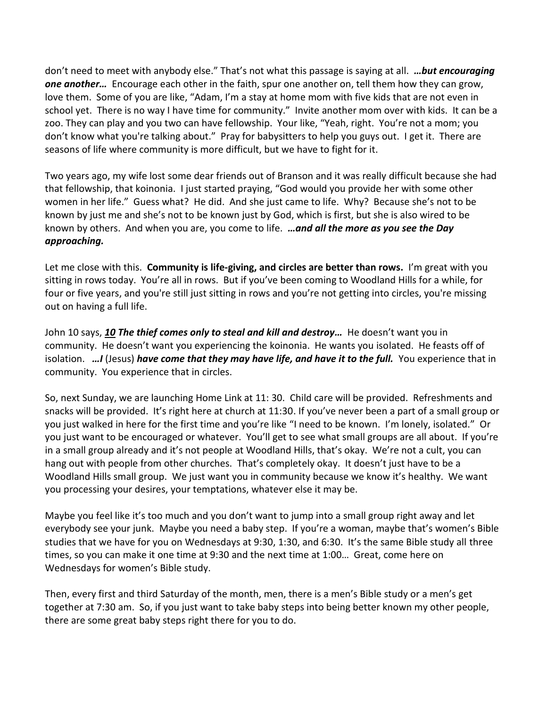don't need to meet with anybody else." That's not what this passage is saying at all. *…but encouraging one another…* Encourage each other in the faith, spur one another on, tell them how they can grow, love them. Some of you are like, "Adam, I'm a stay at home mom with five kids that are not even in school yet. There is no way I have time for community." Invite another mom over with kids. It can be a zoo. They can play and you two can have fellowship. Your like, "Yeah, right. You're not a mom; you don't know what you're talking about." Pray for babysitters to help you guys out. I get it. There are seasons of life where community is more difficult, but we have to fight for it.

Two years ago, my wife lost some dear friends out of Branson and it was really difficult because she had that fellowship, that koinonia. I just started praying, "God would you provide her with some other women in her life." Guess what? He did. And she just came to life. Why? Because she's not to be known by just me and she's not to be known just by God, which is first, but she is also wired to be known by others. And when you are, you come to life. *…and all the more as you see the Day approaching.*

Let me close with this. **Community is life-giving, and circles are better than rows.** I'm great with you sitting in rows today. You're all in rows. But if you've been coming to Woodland Hills for a while, for four or five years, and you're still just sitting in rows and you're not getting into circles, you're missing out on having a full life.

John 10 says, *[10](https://www.studylight.org/desk/?q=joh%2010:10&t1=en_niv&sr=1) The thief comes only to steal and kill and destroy…* He doesn't want you in community. He doesn't want you experiencing the koinonia. He wants you isolated. He feasts off of isolation. *…I* (Jesus) *have come that they may have life, and have it to the full.* You experience that in community. You experience that in circles.

So, next Sunday, we are launching Home Link at 11: 30. Child care will be provided. Refreshments and snacks will be provided. It's right here at church at 11:30. If you've never been a part of a small group or you just walked in here for the first time and you're like "I need to be known. I'm lonely, isolated." Or you just want to be encouraged or whatever. You'll get to see what small groups are all about. If you're in a small group already and it's not people at Woodland Hills, that's okay. We're not a cult, you can hang out with people from other churches. That's completely okay. It doesn't just have to be a Woodland Hills small group. We just want you in community because we know it's healthy. We want you processing your desires, your temptations, whatever else it may be.

Maybe you feel like it's too much and you don't want to jump into a small group right away and let everybody see your junk. Maybe you need a baby step. If you're a woman, maybe that's women's Bible studies that we have for you on Wednesdays at 9:30, 1:30, and 6:30. It's the same Bible study all three times, so you can make it one time at 9:30 and the next time at 1:00… Great, come here on Wednesdays for women's Bible study.

Then, every first and third Saturday of the month, men, there is a men's Bible study or a men's get together at 7:30 am. So, if you just want to take baby steps into being better known my other people, there are some great baby steps right there for you to do.